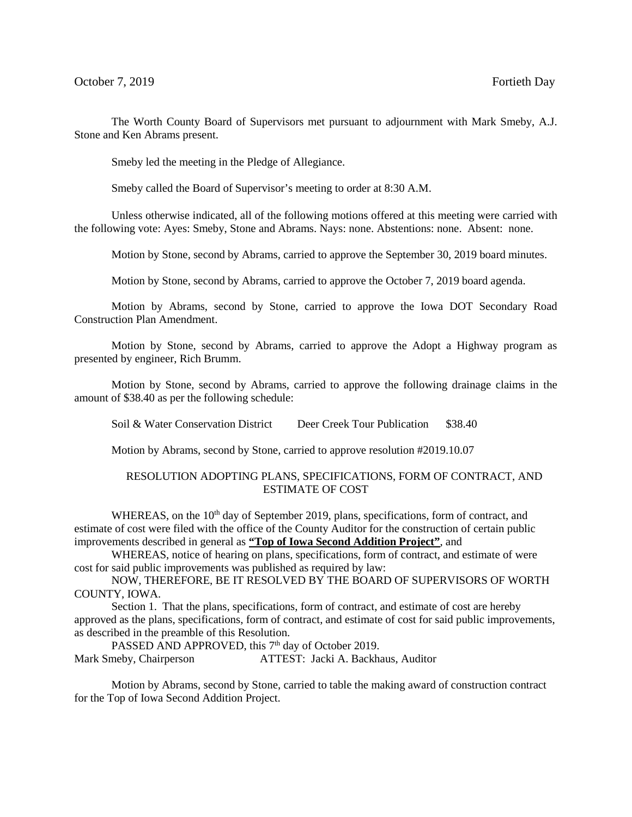The Worth County Board of Supervisors met pursuant to adjournment with Mark Smeby, A.J. Stone and Ken Abrams present.

Smeby led the meeting in the Pledge of Allegiance.

Smeby called the Board of Supervisor's meeting to order at 8:30 A.M.

Unless otherwise indicated, all of the following motions offered at this meeting were carried with the following vote: Ayes: Smeby, Stone and Abrams. Nays: none. Abstentions: none. Absent: none.

Motion by Stone, second by Abrams, carried to approve the September 30, 2019 board minutes.

Motion by Stone, second by Abrams, carried to approve the October 7, 2019 board agenda.

Motion by Abrams, second by Stone, carried to approve the Iowa DOT Secondary Road Construction Plan Amendment.

Motion by Stone, second by Abrams, carried to approve the Adopt a Highway program as presented by engineer, Rich Brumm.

Motion by Stone, second by Abrams, carried to approve the following drainage claims in the amount of \$38.40 as per the following schedule:

Soil & Water Conservation District Deer Creek Tour Publication \$38.40

Motion by Abrams, second by Stone, carried to approve resolution #2019.10.07

## RESOLUTION ADOPTING PLANS, SPECIFICATIONS, FORM OF CONTRACT, AND ESTIMATE OF COST

WHEREAS, on the 10<sup>th</sup> day of September 2019, plans, specifications, form of contract, and estimate of cost were filed with the office of the County Auditor for the construction of certain public improvements described in general as **"Top of Iowa Second Addition Project"**, and

WHEREAS, notice of hearing on plans, specifications, form of contract, and estimate of were cost for said public improvements was published as required by law:

NOW, THEREFORE, BE IT RESOLVED BY THE BOARD OF SUPERVISORS OF WORTH COUNTY, IOWA.

Section 1. That the plans, specifications, form of contract, and estimate of cost are hereby approved as the plans, specifications, form of contract, and estimate of cost for said public improvements, as described in the preamble of this Resolution.

PASSED AND APPROVED, this 7<sup>th</sup> day of October 2019. Mark Smeby, Chairperson ATTEST: Jacki A. Backhaus, Auditor

Motion by Abrams, second by Stone, carried to table the making award of construction contract for the Top of Iowa Second Addition Project.